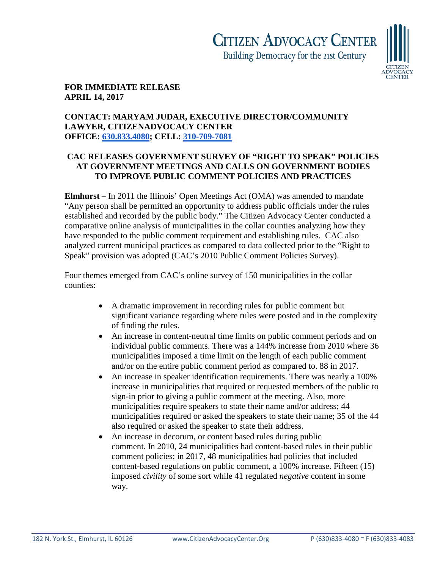

## **FOR IMMEDIATE RELEASE APRIL 14, 2017**

## **CONTACT: MARYAM JUDAR, EXECUTIVE DIRECTOR/COMMUNITY LAWYER, CITIZENADVOCACY CENTER OFFICE: [630.833.4080;](tel:(630)%20833-4080) CELL: [310-709-7081](tel:(310)%20709-7081)**

## **CAC RELEASES GOVERNMENT SURVEY OF "RIGHT TO SPEAK" POLICIES AT GOVERNMENT MEETINGS AND CALLS ON GOVERNMENT BODIES TO IMPROVE PUBLIC COMMENT POLICIES AND PRACTICES**

**Elmhurst –** In 2011 the Illinois' Open Meetings Act (OMA) was amended to mandate "Any person shall be permitted an opportunity to address public officials under the rules established and recorded by the public body." The Citizen Advocacy Center conducted a comparative online analysis of municipalities in the collar counties analyzing how they have responded to the public comment requirement and establishing rules. CAC also analyzed current municipal practices as compared to data collected prior to the "Right to Speak" provision was adopted (CAC's 2010 Public Comment Policies Survey).

Four themes emerged from CAC's online survey of 150 municipalities in the collar counties:

- A dramatic improvement in recording rules for public comment but significant variance regarding where rules were posted and in the complexity of finding the rules.
- An increase in content-neutral time limits on public comment periods and on individual public comments. There was a 144% increase from 2010 where 36 municipalities imposed a time limit on the length of each public comment and/or on the entire public comment period as compared to. 88 in 2017.
- An increase in speaker identification requirements. There was nearly a 100% increase in municipalities that required or requested members of the public to sign-in prior to giving a public comment at the meeting. Also, more municipalities require speakers to state their name and/or address; 44 municipalities required or asked the speakers to state their name; 35 of the 44 also required or asked the speaker to state their address.
- An increase in decorum, or content based rules during public comment. In 2010, 24 municipalities had content-based rules in their public comment policies; in 2017, 48 municipalities had policies that included content-based regulations on public comment, a 100% increase. Fifteen (15) imposed *civility* of some sort while 41 regulated *negative* content in some way.